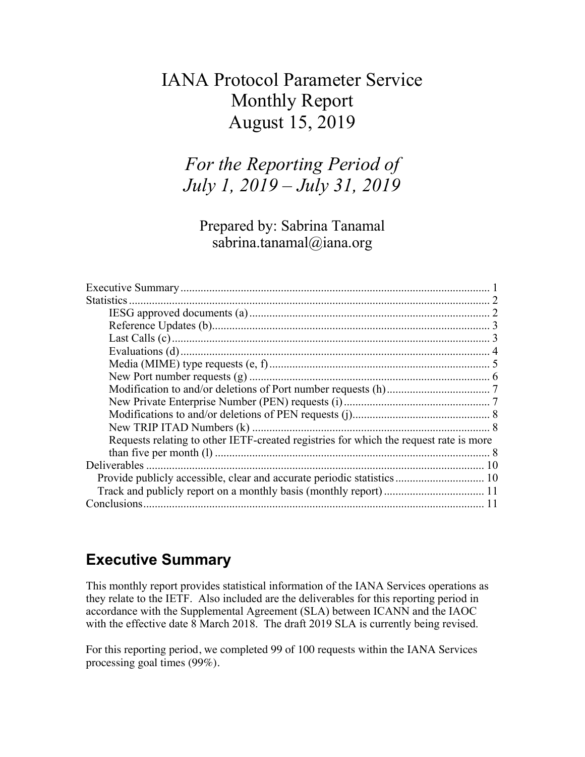## IANA Protocol Parameter Service Monthly Report August 15, 2019

*For the Reporting Period of July 1, 2019 – July 31, 2019*

Prepared by: Sabrina Tanamal sabrina.tanamal@iana.org

| Requests relating to other IETF-created registries for which the request rate is more |  |
|---------------------------------------------------------------------------------------|--|
|                                                                                       |  |
|                                                                                       |  |
| Provide publicly accessible, clear and accurate periodic statistics 10                |  |
|                                                                                       |  |
|                                                                                       |  |

## **Executive Summary**

This monthly report provides statistical information of the IANA Services operations as they relate to the IETF. Also included are the deliverables for this reporting period in accordance with the Supplemental Agreement (SLA) between ICANN and the IAOC with the effective date 8 March 2018. The draft 2019 SLA is currently being revised.

For this reporting period, we completed 99 of 100 requests within the IANA Services processing goal times (99%).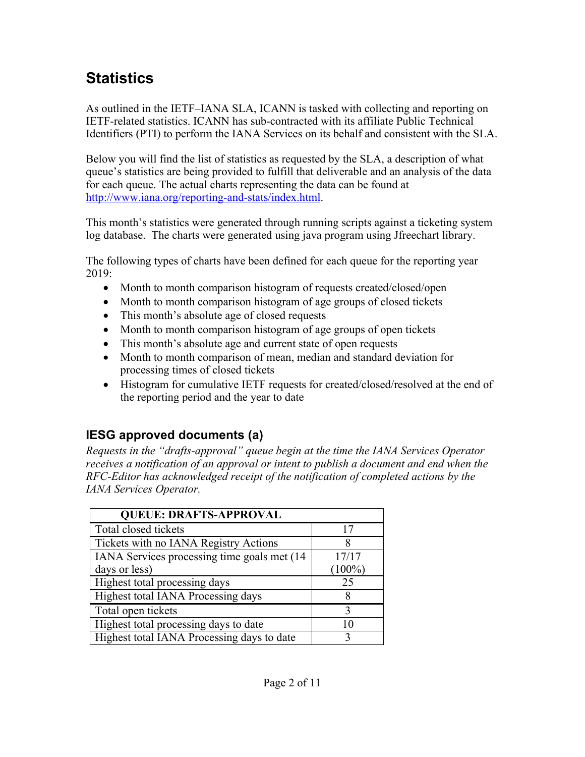# **Statistics**

As outlined in the IETF–IANA SLA, ICANN is tasked with collecting and reporting on IETF-related statistics. ICANN has sub-contracted with its affiliate Public Technical Identifiers (PTI) to perform the IANA Services on its behalf and consistent with the SLA.

Below you will find the list of statistics as requested by the SLA, a description of what queue's statistics are being provided to fulfill that deliverable and an analysis of the data for each queue. The actual charts representing the data can be found at http://www.iana.org/reporting-and-stats/index.html.

This month's statistics were generated through running scripts against a ticketing system log database. The charts were generated using java program using Jfreechart library.

The following types of charts have been defined for each queue for the reporting year 2019:

- Month to month comparison histogram of requests created/closed/open
- Month to month comparison histogram of age groups of closed tickets
- This month's absolute age of closed requests
- Month to month comparison histogram of age groups of open tickets
- This month's absolute age and current state of open requests
- Month to month comparison of mean, median and standard deviation for processing times of closed tickets
- Histogram for cumulative IETF requests for created/closed/resolved at the end of the reporting period and the year to date

## **IESG approved documents (a)**

*Requests in the "drafts-approval" queue begin at the time the IANA Services Operator receives a notification of an approval or intent to publish a document and end when the RFC-Editor has acknowledged receipt of the notification of completed actions by the IANA Services Operator.*

| <b>QUEUE: DRAFTS-APPROVAL</b>                |           |
|----------------------------------------------|-----------|
| Total closed tickets                         | 17        |
| Tickets with no IANA Registry Actions        |           |
| IANA Services processing time goals met (14) | 17/17     |
| days or less)                                | $(100\%)$ |
| Highest total processing days                | 25        |
| Highest total IANA Processing days           |           |
| Total open tickets                           |           |
| Highest total processing days to date        |           |
| Highest total IANA Processing days to date   |           |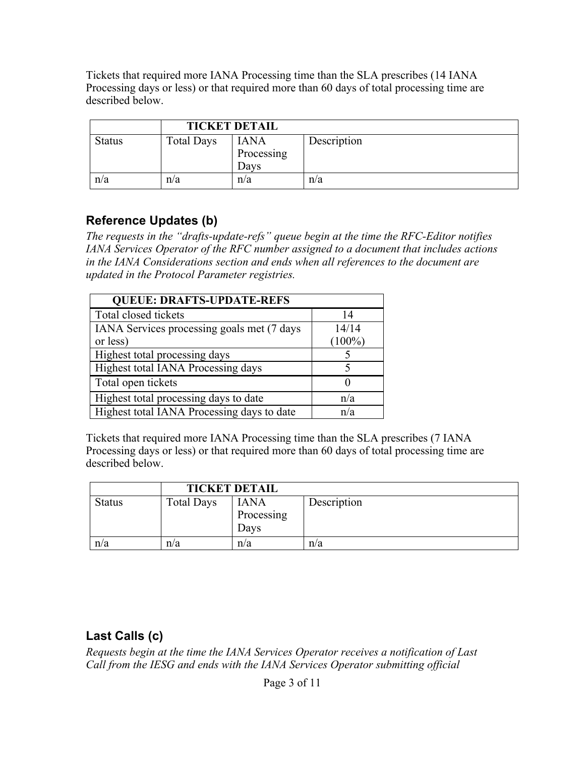Tickets that required more IANA Processing time than the SLA prescribes (14 IANA Processing days or less) or that required more than 60 days of total processing time are described below.

|               |                   | <b>TICKET DETAIL</b>              |             |
|---------------|-------------------|-----------------------------------|-------------|
| <b>Status</b> | <b>Total Days</b> | <b>IANA</b><br>Processing<br>Davs | Description |
| n/a           | n/a               | n/a                               | n/a         |

#### **Reference Updates (b)**

*The requests in the "drafts-update-refs" queue begin at the time the RFC-Editor notifies IANA Services Operator of the RFC number assigned to a document that includes actions in the IANA Considerations section and ends when all references to the document are updated in the Protocol Parameter registries.*

| <b>QUEUE: DRAFTS-UPDATE-REFS</b>           |           |
|--------------------------------------------|-----------|
| Total closed tickets                       | 14        |
| IANA Services processing goals met (7 days | 14/14     |
| or less)                                   | $(100\%)$ |
| Highest total processing days              |           |
| Highest total IANA Processing days         |           |
| Total open tickets                         |           |
| Highest total processing days to date      | n/a       |
| Highest total IANA Processing days to date | n/a       |

Tickets that required more IANA Processing time than the SLA prescribes (7 IANA Processing days or less) or that required more than 60 days of total processing time are described below.

|               | <b>TICKET DETAIL</b> |                                   |             |
|---------------|----------------------|-----------------------------------|-------------|
| <b>Status</b> | <b>Total Days</b>    | <b>IANA</b><br>Processing<br>Davs | Description |
| n/a           | n/a                  | n/a                               | n/a         |

## **Last Calls (c)**

*Requests begin at the time the IANA Services Operator receives a notification of Last Call from the IESG and ends with the IANA Services Operator submitting official*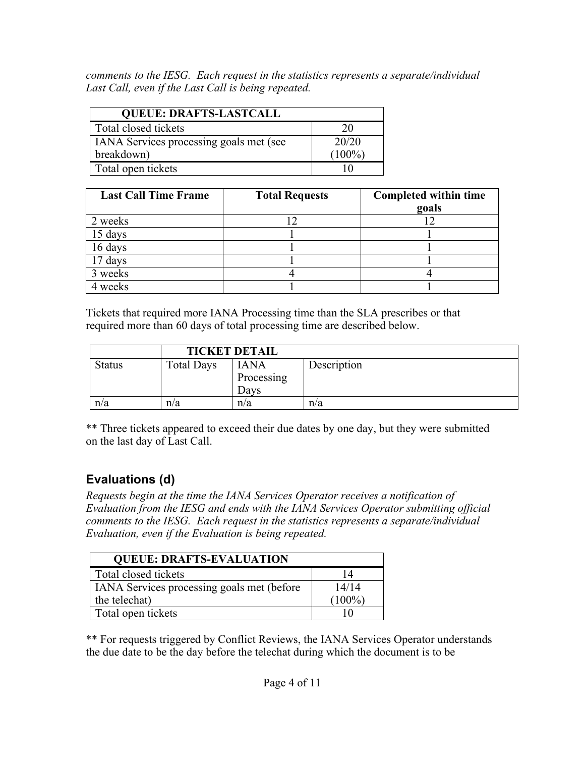*comments to the IESG. Each request in the statistics represents a separate/individual Last Call, even if the Last Call is being repeated.*

| <b>QUEUE: DRAFTS-LASTCALL</b>           |           |  |
|-----------------------------------------|-----------|--|
| Total closed tickets                    | 20        |  |
| IANA Services processing goals met (see | 20/20     |  |
| breakdown)                              | $(100\%)$ |  |
| Total open tickets                      |           |  |

| <b>Last Call Time Frame</b> | <b>Total Requests</b> | <b>Completed within time</b><br>goals |
|-----------------------------|-----------------------|---------------------------------------|
| 2 weeks                     |                       |                                       |
| 15 days                     |                       |                                       |
| 16 days                     |                       |                                       |
| 17 days                     |                       |                                       |
| 3 weeks                     |                       |                                       |
| weeks                       |                       |                                       |

Tickets that required more IANA Processing time than the SLA prescribes or that required more than 60 days of total processing time are described below.

|               |                   | <b>TICKET DETAIL</b>              |             |
|---------------|-------------------|-----------------------------------|-------------|
| <b>Status</b> | <b>Total Days</b> | <b>IANA</b><br>Processing<br>Davs | Description |
| n/a           | n/a               | n/a                               | n/a         |

\*\* Three tickets appeared to exceed their due dates by one day, but they were submitted on the last day of Last Call.

## **Evaluations (d)**

*Requests begin at the time the IANA Services Operator receives a notification of Evaluation from the IESG and ends with the IANA Services Operator submitting official comments to the IESG. Each request in the statistics represents a separate/individual Evaluation, even if the Evaluation is being repeated.*

| <b>QUEUE: DRAFTS-EVALUATION</b>            |           |  |
|--------------------------------------------|-----------|--|
| Total closed tickets                       | 14        |  |
| IANA Services processing goals met (before | 14/14     |  |
| the telechat)                              | $(100\%)$ |  |
| Total open tickets                         |           |  |

\*\* For requests triggered by Conflict Reviews, the IANA Services Operator understands the due date to be the day before the telechat during which the document is to be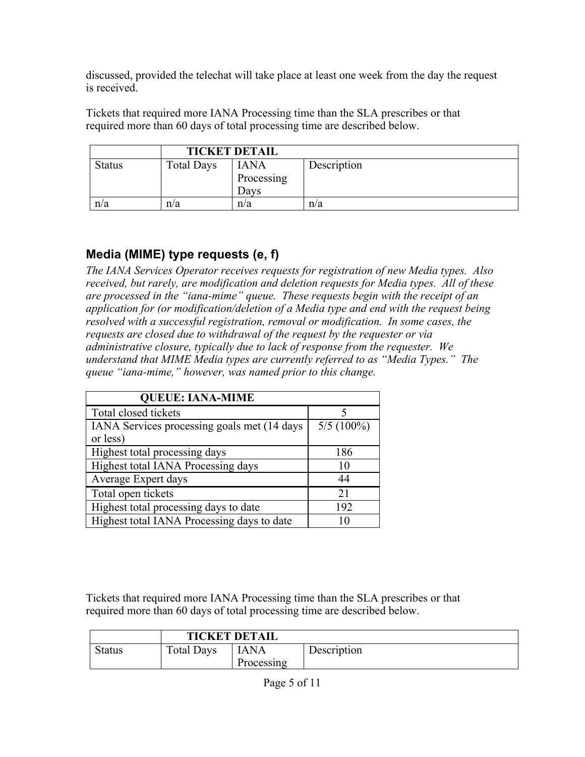discussed, provided the telechat will take place at least one week from the day the request is received.

Tickets that required more IANA Processing time than the SLA prescribes or that required more than 60 days of total processing time are described below.

|               | <b>TICKET DETAIL</b> |             |             |
|---------------|----------------------|-------------|-------------|
| <b>Status</b> | <b>Total Days</b>    | <b>IANA</b> | Description |
|               |                      | Processing  |             |
|               |                      | Davs        |             |
| n/a           | n/a                  | n/a         | n/a         |

## **Media (MIME) type requests (e, f)**

*The IANA Services Operator receives requests for registration of new Media types. Also received, but rarely, are modification and deletion requests for Media types. All of these are processed in the "iana-mime" queue. These requests begin with the receipt of an application for (or modification/deletion of a Media type and end with the request being resolved with a successful registration, removal or modification. In some cases, the requests are closed due to withdrawal of the request by the requester or via administrative closure, typically due to lack of response from the requester. We understand that MIME Media types are currently referred to as "Media Types." The queue "iana-mime," however, was named prior to this change.*

| <b>QUEUE: IANA-MIME</b>                     |              |
|---------------------------------------------|--------------|
| Total closed tickets                        |              |
| IANA Services processing goals met (14 days | $5/5(100\%)$ |
| or less)                                    |              |
| Highest total processing days               | 186          |
| Highest total IANA Processing days          | 10           |
| Average Expert days                         | 44           |
| Total open tickets                          | 21           |
| Highest total processing days to date       | 192          |
| Highest total IANA Processing days to date  | 10           |

Tickets that required more IANA Processing time than the SLA prescribes or that required more than 60 days of total processing time are described below.

|               | <b>TICKET DETAIL</b> |                    |             |
|---------------|----------------------|--------------------|-------------|
| <b>Status</b> | Total Days           | IANA<br>Processing | Description |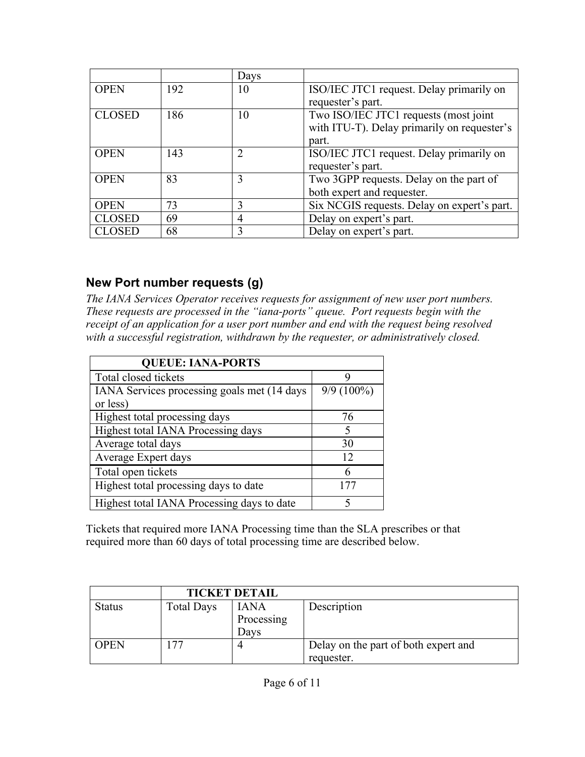|               |     | Days           |                                             |
|---------------|-----|----------------|---------------------------------------------|
| <b>OPEN</b>   | 192 | 10             | ISO/IEC JTC1 request. Delay primarily on    |
|               |     |                | requester's part.                           |
| <b>CLOSED</b> | 186 | 10             | Two ISO/IEC JTC1 requests (most joint       |
|               |     |                | with ITU-T). Delay primarily on requester's |
|               |     |                | part.                                       |
| <b>OPEN</b>   | 143 | $\overline{2}$ | ISO/IEC JTC1 request. Delay primarily on    |
|               |     |                | requester's part.                           |
| <b>OPEN</b>   | 83  | 3              | Two 3GPP requests. Delay on the part of     |
|               |     |                | both expert and requester.                  |
| <b>OPEN</b>   | 73  | 3              | Six NCGIS requests. Delay on expert's part. |
| <b>CLOSED</b> | 69  | $\overline{4}$ | Delay on expert's part.                     |
| <b>CLOSED</b> | 68  | 3              | Delay on expert's part.                     |

#### **New Port number requests (g)**

*The IANA Services Operator receives requests for assignment of new user port numbers. These requests are processed in the "iana-ports" queue. Port requests begin with the receipt of an application for a user port number and end with the request being resolved with a successful registration, withdrawn by the requester, or administratively closed.*

| <b>QUEUE: IANA-PORTS</b>                    |              |  |  |  |
|---------------------------------------------|--------------|--|--|--|
| Total closed tickets                        |              |  |  |  |
| IANA Services processing goals met (14 days | $9/9(100\%)$ |  |  |  |
| or less)                                    |              |  |  |  |
| Highest total processing days               | 76           |  |  |  |
| Highest total IANA Processing days          | 5            |  |  |  |
| Average total days                          | 30           |  |  |  |
| Average Expert days                         | 12           |  |  |  |
| Total open tickets                          | 6            |  |  |  |
| Highest total processing days to date       | 177          |  |  |  |
| Highest total IANA Processing days to date  |              |  |  |  |

Tickets that required more IANA Processing time than the SLA prescribes or that required more than 60 days of total processing time are described below.

|               | <b>TICKET DETAIL</b> |             |                                      |
|---------------|----------------------|-------------|--------------------------------------|
| <b>Status</b> | <b>Total Days</b>    | <b>IANA</b> | Description                          |
|               |                      | Processing  |                                      |
|               |                      | Days        |                                      |
| <b>OPEN</b>   | 177                  |             | Delay on the part of both expert and |
|               |                      |             | requester.                           |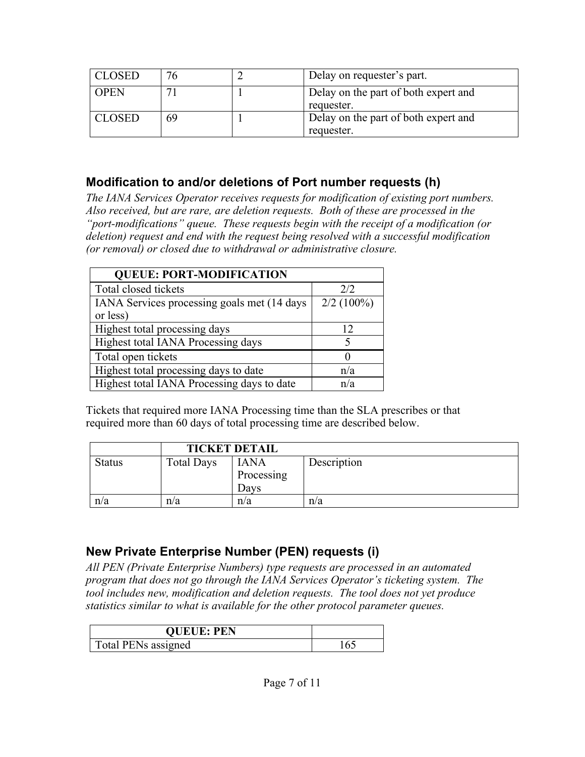| <b>CLOSED</b> |    | Delay on requester's part.                         |
|---------------|----|----------------------------------------------------|
| <b>OPEN</b>   |    | Delay on the part of both expert and<br>requester. |
| <b>CLOSED</b> | 69 | Delay on the part of both expert and<br>requester. |

#### **Modification to and/or deletions of Port number requests (h)**

*The IANA Services Operator receives requests for modification of existing port numbers. Also received, but are rare, are deletion requests. Both of these are processed in the "port-modifications" queue. These requests begin with the receipt of a modification (or deletion) request and end with the request being resolved with a successful modification (or removal) or closed due to withdrawal or administrative closure.*

| <b>QUEUE: PORT-MODIFICATION</b>                          |              |  |  |  |
|----------------------------------------------------------|--------------|--|--|--|
| Total closed tickets                                     | 2/2          |  |  |  |
| IANA Services processing goals met (14 days)<br>or less) | $2/2(100\%)$ |  |  |  |
| Highest total processing days                            | 12           |  |  |  |
| Highest total IANA Processing days                       |              |  |  |  |
| Total open tickets                                       |              |  |  |  |
| Highest total processing days to date                    | n/a          |  |  |  |
| Highest total IANA Processing days to date               | n/a          |  |  |  |

Tickets that required more IANA Processing time than the SLA prescribes or that required more than 60 days of total processing time are described below.

|               | <b>TICKET DETAIL</b> |                                   |             |
|---------------|----------------------|-----------------------------------|-------------|
| <b>Status</b> | <b>Total Days</b>    | <b>IANA</b><br>Processing<br>Davs | Description |
| n/a           | n/a                  | n/a                               | n/a         |

## **New Private Enterprise Number (PEN) requests (i)**

*All PEN (Private Enterprise Numbers) type requests are processed in an automated program that does not go through the IANA Services Operator's ticketing system. The tool includes new, modification and deletion requests. The tool does not yet produce statistics similar to what is available for the other protocol parameter queues.*

| <b>QUEUE: PEN</b>   |  |
|---------------------|--|
| Total PENs assigned |  |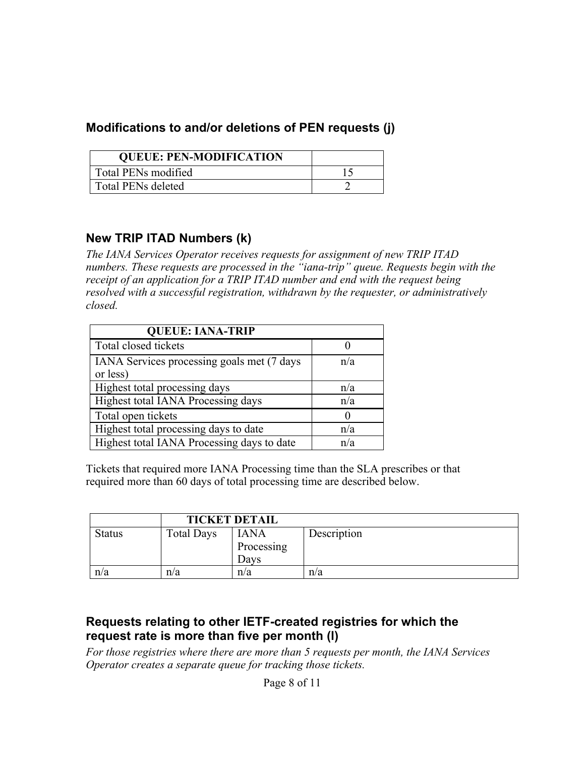#### **Modifications to and/or deletions of PEN requests (j)**

| <b>QUEUE: PEN-MODIFICATION</b> |  |
|--------------------------------|--|
| Total PENs modified            |  |
| <b>Total PENs deleted</b>      |  |

#### **New TRIP ITAD Numbers (k)**

*The IANA Services Operator receives requests for assignment of new TRIP ITAD numbers. These requests are processed in the "iana-trip" queue. Requests begin with the receipt of an application for a TRIP ITAD number and end with the request being resolved with a successful registration, withdrawn by the requester, or administratively closed.*

| <b>QUEUE: IANA-TRIP</b>                                |     |
|--------------------------------------------------------|-----|
| Total closed tickets                                   |     |
| IANA Services processing goals met (7 days<br>or less) | n/a |
| Highest total processing days                          | n/a |
| Highest total IANA Processing days                     | n/a |
| Total open tickets                                     |     |
| Highest total processing days to date                  | n/a |
| Highest total IANA Processing days to date             | n/a |

Tickets that required more IANA Processing time than the SLA prescribes or that required more than 60 days of total processing time are described below.

|               | <b>TICKET DETAIL</b> |                                   |             |
|---------------|----------------------|-----------------------------------|-------------|
| <b>Status</b> | <b>Total Days</b>    | <b>IANA</b><br>Processing<br>Davs | Description |
| n/a           | n/a                  | n/a                               | n/a         |

#### **Requests relating to other IETF-created registries for which the request rate is more than five per month (l)**

*For those registries where there are more than 5 requests per month, the IANA Services Operator creates a separate queue for tracking those tickets.*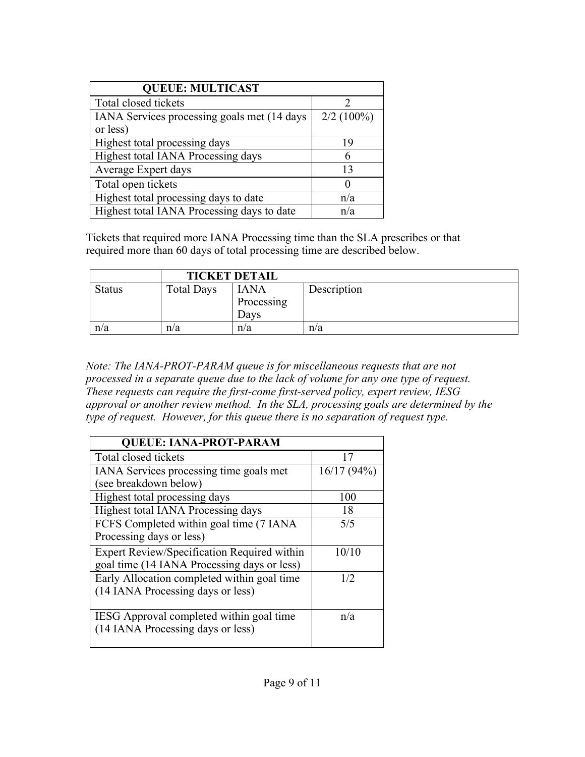| <b>QUEUE: MULTICAST</b>                     |              |  |  |  |
|---------------------------------------------|--------------|--|--|--|
| Total closed tickets                        |              |  |  |  |
| IANA Services processing goals met (14 days | $2/2$ (100%) |  |  |  |
| or less)                                    |              |  |  |  |
| Highest total processing days               | 19           |  |  |  |
| Highest total IANA Processing days          | 6            |  |  |  |
| Average Expert days                         | 13           |  |  |  |
| Total open tickets                          |              |  |  |  |
| Highest total processing days to date       | n/a          |  |  |  |
| Highest total IANA Processing days to date  | n/a          |  |  |  |

Tickets that required more IANA Processing time than the SLA prescribes or that required more than 60 days of total processing time are described below.

|               | <b>TICKET DETAIL</b> |                                   |             |
|---------------|----------------------|-----------------------------------|-------------|
| <b>Status</b> | <b>Total Days</b>    | <b>IANA</b><br>Processing<br>Davs | Description |
| n/a           | n/a                  | n/a                               | n/a         |

*Note: The IANA-PROT-PARAM queue is for miscellaneous requests that are not processed in a separate queue due to the lack of volume for any one type of request. These requests can require the first-come first-served policy, expert review, IESG approval or another review method. In the SLA, processing goals are determined by the type of request. However, for this queue there is no separation of request type.*

| <b>QUEUE: IANA-PROT-PARAM</b>                                                              |            |  |  |
|--------------------------------------------------------------------------------------------|------------|--|--|
| Total closed tickets                                                                       | 17         |  |  |
| IANA Services processing time goals met<br>(see breakdown below)                           | 16/17(94%) |  |  |
| Highest total processing days                                                              | 100        |  |  |
| Highest total IANA Processing days                                                         | 18         |  |  |
| FCFS Completed within goal time (7 IANA)<br>Processing days or less)                       | 5/5        |  |  |
| Expert Review/Specification Required within<br>goal time (14 IANA Processing days or less) | 10/10      |  |  |
| Early Allocation completed within goal time<br>(14 IANA Processing days or less)           | 1/2        |  |  |
| IESG Approval completed within goal time<br>(14 IANA Processing days or less)              | n/a        |  |  |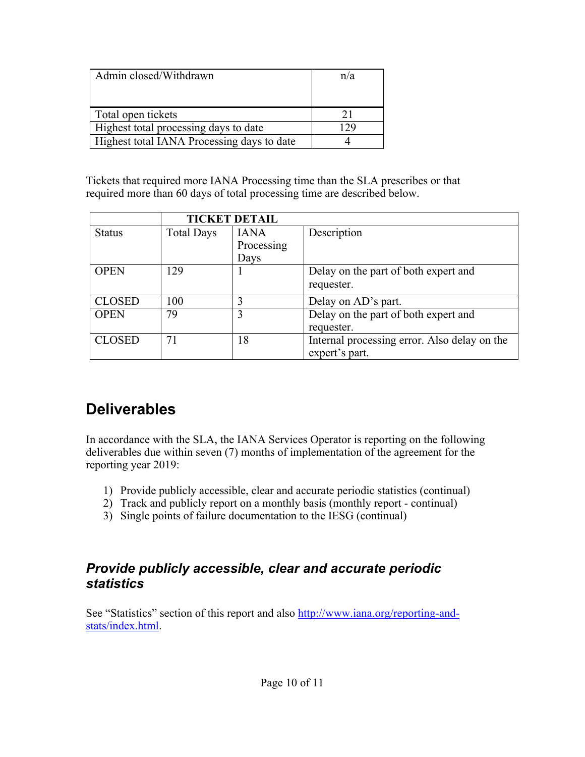| Admin closed/Withdrawn                     | n/a |
|--------------------------------------------|-----|
|                                            |     |
| Total open tickets                         |     |
| Highest total processing days to date      |     |
| Highest total IANA Processing days to date |     |

Tickets that required more IANA Processing time than the SLA prescribes or that required more than 60 days of total processing time are described below.

|               |                   | <b>TICKET DETAIL</b> |                                              |
|---------------|-------------------|----------------------|----------------------------------------------|
| <b>Status</b> | <b>Total Days</b> | <b>IANA</b>          | Description                                  |
|               |                   | Processing           |                                              |
|               |                   | Days                 |                                              |
| <b>OPEN</b>   | 129               |                      | Delay on the part of both expert and         |
|               |                   |                      | requester.                                   |
| <b>CLOSED</b> | 100               | 3                    | Delay on AD's part.                          |
| <b>OPEN</b>   | 79                | 3                    | Delay on the part of both expert and         |
|               |                   |                      | requester.                                   |
| <b>CLOSED</b> | 71                | 18                   | Internal processing error. Also delay on the |
|               |                   |                      | expert's part.                               |

## **Deliverables**

In accordance with the SLA, the IANA Services Operator is reporting on the following deliverables due within seven (7) months of implementation of the agreement for the reporting year 2019:

- 1) Provide publicly accessible, clear and accurate periodic statistics (continual)
- 2) Track and publicly report on a monthly basis (monthly report continual)
- 3) Single points of failure documentation to the IESG (continual)

#### *Provide publicly accessible, clear and accurate periodic statistics*

See "Statistics" section of this report and also http://www.iana.org/reporting-andstats/index.html.